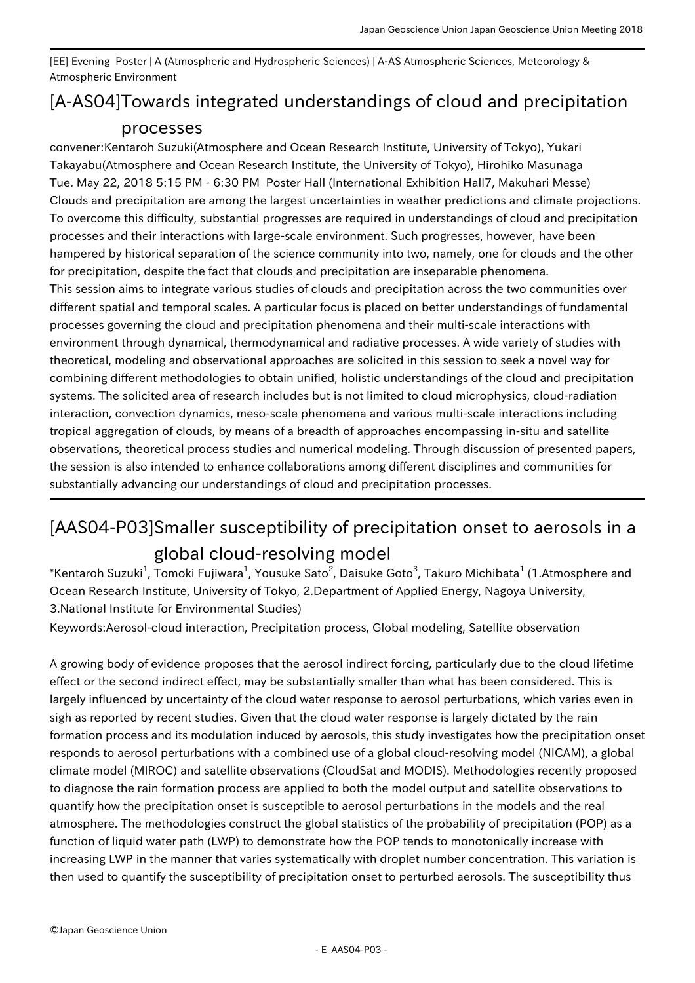[EE] Evening Poster | A (Atmospheric and Hydrospheric Sciences) | A-AS Atmospheric Sciences, Meteorology & Atmospheric Environment

## [A-AS04] Towards integrated understandings of cloud and precipitation processes

convener:Kentaroh Suzuki(Atmosphere and Ocean Research Institute, University of Tokyo), Yukari Takayabu(Atmosphere and Ocean Research Institute, the University of Tokyo), Hirohiko Masunaga Tue. May 22, 2018 5:15 PM - 6:30 PM Poster Hall (International Exhibition Hall7, Makuhari Messe) Clouds and precipitation are among the largest uncertainties in weather predictions and climate projections. To overcome this difficulty, substantial progresses are required in understandings of cloud and precipitation processes and their interactions with large-scale environment. Such progresses, however, have been hampered by historical separation of the science community into two, namely, one for clouds and the other for precipitation, despite the fact that clouds and precipitation are inseparable phenomena. This session aims to integrate various studies of clouds and precipitation across the two communities over different spatial and temporal scales. A particular focus is placed on better understandings of fundamental processes governing the cloud and precipitation phenomena and their multi-scale interactions with environment through dynamical, thermodynamical and radiative processes. A wide variety of studies with theoretical, modeling and observational approaches are solicited in this session to seek a novel way for combining different methodologies to obtain unified, holistic understandings of the cloud and precipitation systems. The solicited area of research includes but is not limited to cloud microphysics, cloud-radiation interaction, convection dynamics, meso-scale phenomena and various multi-scale interactions including tropical aggregation of clouds, by means of a breadth of approaches encompassing in-situ and satellite observations, theoretical process studies and numerical modeling. Through discussion of presented papers, the session is also intended to enhance collaborations among different disciplines and communities for substantially advancing our understandings of cloud and precipitation processes.

## [AAS04-P03] Smaller susceptibility of precipitation onset to aerosols in a

## global cloud-resolving model

 $^\ast$ Kentaroh Suzuki $^1$ , Tomoki Fujiwara $^1$ , Yousuke Sato $^2$ , Daisuke Goto $^3$ , Takuro Michibata $^1$  (1.Atmosphere and Ocean Research Institute, University of Tokyo, 2.Department of Applied Energy, Nagoya University, 3.National Institute for Environmental Studies)

Keywords:Aerosol-cloud interaction, Precipitation process, Global modeling, Satellite observation

A growing body of evidence proposes that the aerosol indirect forcing, particularly due to the cloud lifetime effect or the second indirect effect, may be substantially smaller than what has been considered. This is largely influenced by uncertainty of the cloud water response to aerosol perturbations, which varies even in sigh as reported by recent studies. Given that the cloud water response is largely dictated by the rain formation process and its modulation induced by aerosols, this study investigates how the precipitation onset responds to aerosol perturbations with a combined use of a global cloud-resolving model (NICAM), a global climate model (MIROC) and satellite observations (CloudSat and MODIS). Methodologies recently proposed to diagnose the rain formation process are applied to both the model output and satellite observations to quantify how the precipitation onset is susceptible to aerosol perturbations in the models and the real atmosphere. The methodologies construct the global statistics of the probability of precipitation (POP) as a function of liquid water path (LWP) to demonstrate how the POP tends to monotonically increase with increasing LWP in the manner that varies systematically with droplet number concentration. This variation is then used to quantify the susceptibility of precipitation onset to perturbed aerosols. The susceptibility thus